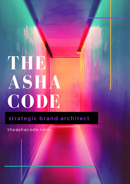# THIR ASHA CODE

# strategic brand architect

theashacode.com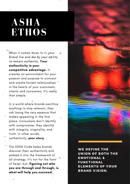# **ASHA ETHOS**

When it comes down to it, your brand live and die by your ability to remain authentic. Your authenticity is your competitive advantage. It creates an environment for your passion and purpose to connect and create honest relationships in the hearts of your customers, clients and consumers. It's really that simple.

In a world where brands sacrifice anything to stay relevant, they risk lósing the very essence that makes appealing in the first place. Consumers don't identify with compromise; they identify with integrity, originality, and truth. In other words, authenticity, your story.

The ASHA Code helps brands discover their authenticity and embed it into the framework of all strategy. It's not for the faint of heart, but, figuring out who you are through and through, is what will help you succeed.

WE DEFINE THE UNION OF BOTH THE EMOTIONAL & FUNCTIONAL ELEMENTS OF YOUR BRAND VISION.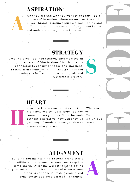### **ASPIRATION**



Who you are and who you want to become. It's a process of intention, where we uncover the soul of your brand. It defines purpose, positioning and differentiation. It's a product of vision and values and understanding you aim to serve.

## **STRATEGY**

Creating a well defined strategy encompasses all aspects of "the business" but is directly connected to consumer needs and emotions. Brands aren't built overnight, thus a true brand strategy is focused on long-term goals and sustainable growth.

#### **HEART**



Your heart is in your brand expression. Who you are & how you tell your story. It's how we communicate your brand to the world. Your authentic narrative, how you show up, is a unique harmony of words and images that capture and express who you are.

#### **ALIGNMENT**

Building and maintaining a strong brand starts from within, and alignment ensures you keep the same energy. After the work it takes to define your voice, this critical process of ensures your brand experience is fresh, dynamic and consistently deployed across all channels.